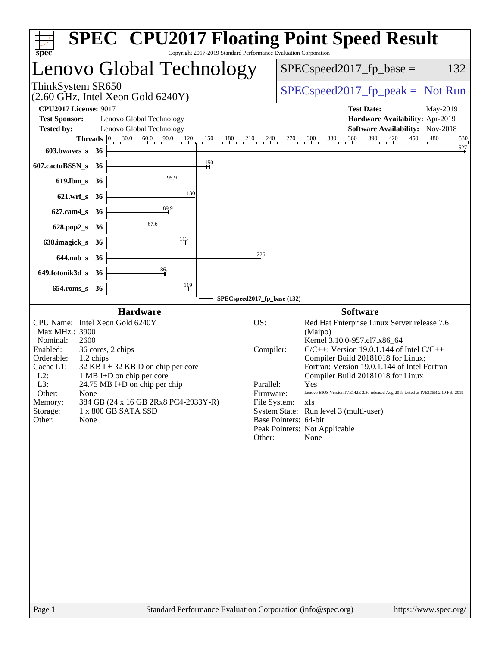| Copyright 2017-2019 Standard Performance Evaluation Corporation<br>$spec^*$                                                                                                                                                                                                                                                                                                                               | <b>SPEC<sup>®</sup> CPU2017 Floating Point Speed Result</b>                                                                                                                                                                                                                                                                                                                                                                                                                                                                                             |
|-----------------------------------------------------------------------------------------------------------------------------------------------------------------------------------------------------------------------------------------------------------------------------------------------------------------------------------------------------------------------------------------------------------|---------------------------------------------------------------------------------------------------------------------------------------------------------------------------------------------------------------------------------------------------------------------------------------------------------------------------------------------------------------------------------------------------------------------------------------------------------------------------------------------------------------------------------------------------------|
| Lenovo Global Technology                                                                                                                                                                                                                                                                                                                                                                                  | $SPEC speed2017_fp\_base =$<br>132                                                                                                                                                                                                                                                                                                                                                                                                                                                                                                                      |
| ThinkSystem SR650<br>$(2.60 \text{ GHz}, \text{Intel Xeon Gold } 6240 \text{Y})$                                                                                                                                                                                                                                                                                                                          | $SPEC speed2017_fp\_peak = Not Run$                                                                                                                                                                                                                                                                                                                                                                                                                                                                                                                     |
| <b>CPU2017 License: 9017</b>                                                                                                                                                                                                                                                                                                                                                                              | <b>Test Date:</b><br>May-2019                                                                                                                                                                                                                                                                                                                                                                                                                                                                                                                           |
| <b>Test Sponsor:</b><br>Lenovo Global Technology                                                                                                                                                                                                                                                                                                                                                          | Hardware Availability: Apr-2019                                                                                                                                                                                                                                                                                                                                                                                                                                                                                                                         |
| Lenovo Global Technology<br><b>Tested by:</b><br>$ 0\rangle$                                                                                                                                                                                                                                                                                                                                              | <b>Software Availability:</b> Nov-2018<br>530                                                                                                                                                                                                                                                                                                                                                                                                                                                                                                           |
| $30.0$ $60.0$ $90.0$ $120$<br>Threads<br>603.bwaves_s<br>- 36                                                                                                                                                                                                                                                                                                                                             | $\frac{150}{1} \quad \frac{180}{1} \quad \frac{210}{1} \quad \frac{240}{1} \quad \frac{270}{1} \quad \frac{300}{1} \quad \frac{330}{1} \quad \frac{360}{1} \quad \frac{360}{1} \quad \frac{390}{1} \quad \frac{420}{1} \quad \frac{450}{1} \quad \frac{480}{1}$<br>527                                                                                                                                                                                                                                                                                  |
| $\frac{150}{1}$<br>607.cactuBSSN_s<br>- 36                                                                                                                                                                                                                                                                                                                                                                |                                                                                                                                                                                                                                                                                                                                                                                                                                                                                                                                                         |
| 95.9<br>$619$ .lbm_s<br>- 36                                                                                                                                                                                                                                                                                                                                                                              |                                                                                                                                                                                                                                                                                                                                                                                                                                                                                                                                                         |
| 130<br>$621.wrf_s$<br>36                                                                                                                                                                                                                                                                                                                                                                                  |                                                                                                                                                                                                                                                                                                                                                                                                                                                                                                                                                         |
| $\frac{89.9}{5}$<br>$627$ .cam $4$ <sub>S</sub><br>36                                                                                                                                                                                                                                                                                                                                                     |                                                                                                                                                                                                                                                                                                                                                                                                                                                                                                                                                         |
| 67.6<br>628.pop2_s<br>-36                                                                                                                                                                                                                                                                                                                                                                                 |                                                                                                                                                                                                                                                                                                                                                                                                                                                                                                                                                         |
| 113<br>638.imagick_s<br>-36                                                                                                                                                                                                                                                                                                                                                                               |                                                                                                                                                                                                                                                                                                                                                                                                                                                                                                                                                         |
| $644$ .nab s<br>-36                                                                                                                                                                                                                                                                                                                                                                                       | 226                                                                                                                                                                                                                                                                                                                                                                                                                                                                                                                                                     |
| 86.1<br>649.fotonik3d_s<br>36                                                                                                                                                                                                                                                                                                                                                                             |                                                                                                                                                                                                                                                                                                                                                                                                                                                                                                                                                         |
| 119<br>$654$ .roms_s<br>36                                                                                                                                                                                                                                                                                                                                                                                |                                                                                                                                                                                                                                                                                                                                                                                                                                                                                                                                                         |
| <b>Hardware</b>                                                                                                                                                                                                                                                                                                                                                                                           | SPECspeed2017_fp_base (132)<br><b>Software</b>                                                                                                                                                                                                                                                                                                                                                                                                                                                                                                          |
| CPU Name: Intel Xeon Gold 6240Y<br>Max MHz.: 3900<br>Nominal:<br>2600<br>Enabled:<br>36 cores, 2 chips<br>Orderable:<br>1,2 chips<br>Cache L1:<br>$32$ KB I + 32 KB D on chip per core<br>$L2$ :<br>1 MB I+D on chip per core<br>L3:<br>$24.75 \text{ MB I+D}$ on chip per chip<br>Other:<br>None<br>384 GB (24 x 16 GB 2Rx8 PC4-2933Y-R)<br>Memory:<br>Storage:<br>1 x 800 GB SATA SSD<br>None<br>Other: | OS:<br>Red Hat Enterprise Linux Server release 7.6<br>(Maipo)<br>Kernel 3.10.0-957.el7.x86_64<br>$C/C++$ : Version 19.0.1.144 of Intel $C/C++$<br>Compiler:<br>Compiler Build 20181018 for Linux;<br>Fortran: Version 19.0.1.144 of Intel Fortran<br>Compiler Build 20181018 for Linux<br>Parallel:<br>Yes<br>Firmware:<br>Lenovo BIOS Version IVE142E 2.30 released Aug-2019 tested as IVE135R 2.10 Feb-2019<br>File System: xfs<br>System State: Run level 3 (multi-user)<br>Base Pointers: 64-bit<br>Peak Pointers: Not Applicable<br>Other:<br>None |
|                                                                                                                                                                                                                                                                                                                                                                                                           |                                                                                                                                                                                                                                                                                                                                                                                                                                                                                                                                                         |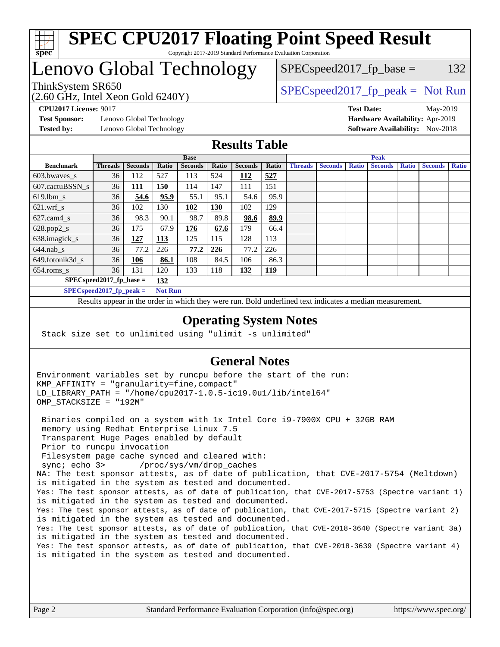

#### **[SPEC CPU2017 Floating Point Speed Result](http://www.spec.org/auto/cpu2017/Docs/result-fields.html#SPECCPU2017FloatingPointSpeedResult)** Copyright 2017-2019 Standard Performance Evaluation Corporation

## Lenovo Global Technology

 $SPEC speed2017_fp\_base = 132$ 

#### (2.60 GHz, Intel Xeon Gold 6240Y) ThinkSystem SR650<br>  $SPEC speed2017<sub>rfp</sub> peak = Not Run$

**[Test Sponsor:](http://www.spec.org/auto/cpu2017/Docs/result-fields.html#TestSponsor)** Lenovo Global Technology **[Hardware Availability:](http://www.spec.org/auto/cpu2017/Docs/result-fields.html#HardwareAvailability)** Apr-2019 **[Tested by:](http://www.spec.org/auto/cpu2017/Docs/result-fields.html#Testedby)** Lenovo Global Technology **[Software Availability:](http://www.spec.org/auto/cpu2017/Docs/result-fields.html#SoftwareAvailability)** Nov-2018

**[CPU2017 License:](http://www.spec.org/auto/cpu2017/Docs/result-fields.html#CPU2017License)** 9017 **[Test Date:](http://www.spec.org/auto/cpu2017/Docs/result-fields.html#TestDate)** May-2019

#### **[Results Table](http://www.spec.org/auto/cpu2017/Docs/result-fields.html#ResultsTable)**

|                                              | <b>Base</b>    |                |       |                |       | <b>Peak</b>    |       |                |                |              |                |              |                |              |
|----------------------------------------------|----------------|----------------|-------|----------------|-------|----------------|-------|----------------|----------------|--------------|----------------|--------------|----------------|--------------|
| <b>Benchmark</b>                             | <b>Threads</b> | <b>Seconds</b> | Ratio | <b>Seconds</b> | Ratio | <b>Seconds</b> | Ratio | <b>Threads</b> | <b>Seconds</b> | <b>Ratio</b> | <b>Seconds</b> | <b>Ratio</b> | <b>Seconds</b> | <b>Ratio</b> |
| 603.bwayes s                                 | 36             | 112            | 527   | 113            | 524   | 112            | 527   |                |                |              |                |              |                |              |
| 607.cactuBSSN s                              | 36             | <u> 111</u>    | 150   | 114            | 147   | 111            | 151   |                |                |              |                |              |                |              |
| $619.$ lbm s                                 | 36             | 54.6           | 95.9  | 55.1           | 95.1  | 54.6           | 95.9  |                |                |              |                |              |                |              |
| $621.wrf$ s                                  | 36             | 102            | 130   | 102            | 130   | 102            | 129   |                |                |              |                |              |                |              |
| $627$ .cam4 s                                | 36             | 98.3           | 90.1  | 98.7           | 89.8  | 98.6           | 89.9  |                |                |              |                |              |                |              |
| $628.pop2_s$                                 | 36             | 175            | 67.9  | 176            | 67.6  | 179            | 66.4  |                |                |              |                |              |                |              |
| 638.imagick_s                                | 36             | <u> 127</u>    | 113   | 125            | 115   | 128            | 113   |                |                |              |                |              |                |              |
| $644$ .nab s                                 | 36             | 77.2           | 226   | 77.2           | 226   | 77.2           | 226   |                |                |              |                |              |                |              |
| 649.fotonik3d s                              | 36             | <u>106</u>     | 86.1  | 108            | 84.5  | 106            | 86.3  |                |                |              |                |              |                |              |
| $654$ .roms s                                | 36             | 131            | 120   | 133            | 118   | 132            | 119   |                |                |              |                |              |                |              |
| $SPEC speed2017$ fp base =<br>132            |                |                |       |                |       |                |       |                |                |              |                |              |                |              |
| SPECspeed 2017 fp peak $=$<br><b>Not Run</b> |                |                |       |                |       |                |       |                |                |              |                |              |                |              |

Results appear in the [order in which they were run.](http://www.spec.org/auto/cpu2017/Docs/result-fields.html#RunOrder) Bold underlined text [indicates a median measurement](http://www.spec.org/auto/cpu2017/Docs/result-fields.html#Median).

#### **[Operating System Notes](http://www.spec.org/auto/cpu2017/Docs/result-fields.html#OperatingSystemNotes)**

Stack size set to unlimited using "ulimit -s unlimited"

#### **[General Notes](http://www.spec.org/auto/cpu2017/Docs/result-fields.html#GeneralNotes)**

Environment variables set by runcpu before the start of the run: KMP\_AFFINITY = "granularity=fine,compact" LD\_LIBRARY\_PATH = "/home/cpu2017-1.0.5-ic19.0u1/lib/intel64" OMP\_STACKSIZE = "192M"

 Binaries compiled on a system with 1x Intel Core i9-7900X CPU + 32GB RAM memory using Redhat Enterprise Linux 7.5 Transparent Huge Pages enabled by default Prior to runcpu invocation Filesystem page cache synced and cleared with: sync; echo 3> /proc/sys/vm/drop\_caches NA: The test sponsor attests, as of date of publication, that CVE-2017-5754 (Meltdown) is mitigated in the system as tested and documented. Yes: The test sponsor attests, as of date of publication, that CVE-2017-5753 (Spectre variant 1) is mitigated in the system as tested and documented. Yes: The test sponsor attests, as of date of publication, that CVE-2017-5715 (Spectre variant 2) is mitigated in the system as tested and documented. Yes: The test sponsor attests, as of date of publication, that CVE-2018-3640 (Spectre variant 3a) is mitigated in the system as tested and documented. Yes: The test sponsor attests, as of date of publication, that CVE-2018-3639 (Spectre variant 4) is mitigated in the system as tested and documented.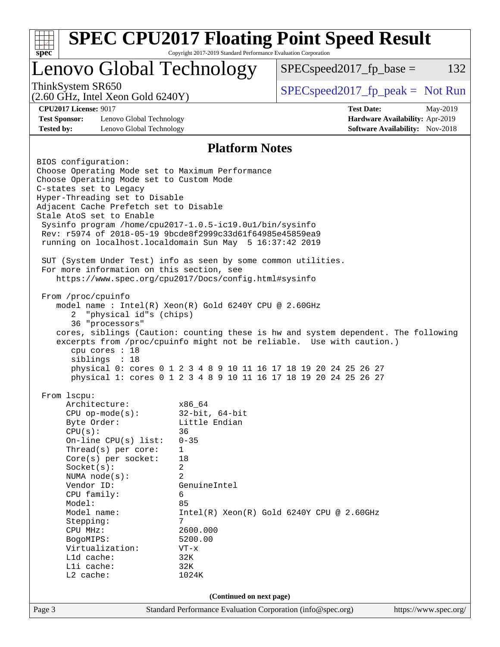| <b>SPEC CPU2017 Floating Point Speed Result</b><br>spec <sup>®</sup>                                                                                                                                                                                                                                                                                                                                                                                                                                                                                                                                                                                                                                                                                                                                                                                                                                                                                                                                                                                                                                                                                                                                                                                                                                                                                           | Copyright 2017-2019 Standard Performance Evaluation Corporation                                                     |                                     |                                                                           |          |  |  |
|----------------------------------------------------------------------------------------------------------------------------------------------------------------------------------------------------------------------------------------------------------------------------------------------------------------------------------------------------------------------------------------------------------------------------------------------------------------------------------------------------------------------------------------------------------------------------------------------------------------------------------------------------------------------------------------------------------------------------------------------------------------------------------------------------------------------------------------------------------------------------------------------------------------------------------------------------------------------------------------------------------------------------------------------------------------------------------------------------------------------------------------------------------------------------------------------------------------------------------------------------------------------------------------------------------------------------------------------------------------|---------------------------------------------------------------------------------------------------------------------|-------------------------------------|---------------------------------------------------------------------------|----------|--|--|
| Lenovo Global Technology                                                                                                                                                                                                                                                                                                                                                                                                                                                                                                                                                                                                                                                                                                                                                                                                                                                                                                                                                                                                                                                                                                                                                                                                                                                                                                                                       |                                                                                                                     | $SPEC speed2017fp base =$           |                                                                           | 132      |  |  |
| ThinkSystem SR650<br>$(2.60 \text{ GHz}, \text{Intel Xeon Gold } 6240 \text{Y})$                                                                                                                                                                                                                                                                                                                                                                                                                                                                                                                                                                                                                                                                                                                                                                                                                                                                                                                                                                                                                                                                                                                                                                                                                                                                               |                                                                                                                     | $SPEC speed2017_fp\_peak = Not Run$ |                                                                           |          |  |  |
| <b>CPU2017 License: 9017</b><br><b>Test Sponsor:</b><br>Lenovo Global Technology<br><b>Tested by:</b><br>Lenovo Global Technology                                                                                                                                                                                                                                                                                                                                                                                                                                                                                                                                                                                                                                                                                                                                                                                                                                                                                                                                                                                                                                                                                                                                                                                                                              |                                                                                                                     | <b>Test Date:</b>                   | Hardware Availability: Apr-2019<br><b>Software Availability:</b> Nov-2018 | May-2019 |  |  |
|                                                                                                                                                                                                                                                                                                                                                                                                                                                                                                                                                                                                                                                                                                                                                                                                                                                                                                                                                                                                                                                                                                                                                                                                                                                                                                                                                                |                                                                                                                     |                                     |                                                                           |          |  |  |
| <b>Platform Notes</b><br>BIOS configuration:<br>Choose Operating Mode set to Maximum Performance<br>Choose Operating Mode set to Custom Mode<br>C-states set to Legacy<br>Hyper-Threading set to Disable<br>Adjacent Cache Prefetch set to Disable<br>Stale AtoS set to Enable<br>Sysinfo program /home/cpu2017-1.0.5-ic19.0ul/bin/sysinfo<br>Rev: r5974 of 2018-05-19 9bcde8f2999c33d61f64985e45859ea9<br>running on localhost.localdomain Sun May 5 16:37:42 2019<br>SUT (System Under Test) info as seen by some common utilities.<br>For more information on this section, see<br>https://www.spec.org/cpu2017/Docs/config.html#sysinfo<br>From /proc/cpuinfo<br>model name: $Intel(R)$ Xeon(R) Gold 6240Y CPU @ 2.60GHz<br>2 "physical id"s (chips)<br>36 "processors"<br>cores, siblings (Caution: counting these is hw and system dependent. The following<br>excerpts from /proc/cpuinfo might not be reliable. Use with caution.)<br>cpu cores : 18<br>siblings : 18<br>physical 0: cores 0 1 2 3 4 8 9 10 11 16 17 18 19 20 24 25 26 27<br>physical 1: cores 0 1 2 3 4 8 9 10 11 16 17 18 19 20 24 25 26 27<br>From lscpu:<br>Architecture:<br>x86 64<br>$32$ -bit, $64$ -bit<br>$CPU$ op-mode( $s$ ):<br>Little Endian<br>Byte Order:<br>CPU(s):<br>36<br>On-line CPU(s) list:<br>$0 - 35$<br>Thread(s) per core:<br>1<br>Core(s) per socket:<br>18 |                                                                                                                     |                                     |                                                                           |          |  |  |
| Vendor ID:<br>CPU family:                                                                                                                                                                                                                                                                                                                                                                                                                                                                                                                                                                                                                                                                                                                                                                                                                                                                                                                                                                                                                                                                                                                                                                                                                                                                                                                                      | 2<br>NUMA node(s):<br>GenuineIntel<br>6                                                                             |                                     |                                                                           |          |  |  |
| Model:<br>Model name:<br>Stepping:<br>CPU MHz:<br>BogoMIPS:<br>Virtualization:<br>Lld cache:<br>Lli cache:<br>L2 cache:                                                                                                                                                                                                                                                                                                                                                                                                                                                                                                                                                                                                                                                                                                                                                                                                                                                                                                                                                                                                                                                                                                                                                                                                                                        | 85<br>$Intel(R)$ Xeon $(R)$ Gold 6240Y CPU @ 2.60GHz<br>7<br>2600.000<br>5200.00<br>$VT - x$<br>32K<br>32K<br>1024K |                                     |                                                                           |          |  |  |
| (Continued on next page)                                                                                                                                                                                                                                                                                                                                                                                                                                                                                                                                                                                                                                                                                                                                                                                                                                                                                                                                                                                                                                                                                                                                                                                                                                                                                                                                       |                                                                                                                     |                                     |                                                                           |          |  |  |
| Page 3                                                                                                                                                                                                                                                                                                                                                                                                                                                                                                                                                                                                                                                                                                                                                                                                                                                                                                                                                                                                                                                                                                                                                                                                                                                                                                                                                         | Standard Performance Evaluation Corporation (info@spec.org)                                                         |                                     | https://www.spec.org/                                                     |          |  |  |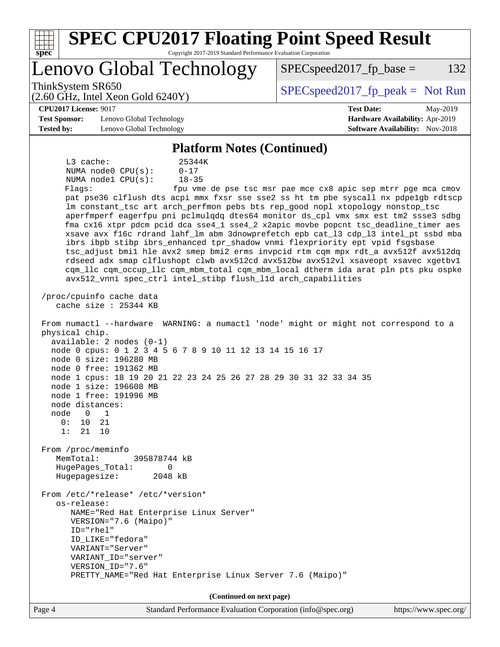| spec <sup>®</sup>                                                                   | <b>SPEC CPU2017 Floating Point Speed Result</b><br>Copyright 2017-2019 Standard Performance Evaluation Corporation                                                                                                                                                                                                                        |                                                                                                                                                                                                                                                                                                                                                                                                                                                                                                                                                                                                                                                                                              |
|-------------------------------------------------------------------------------------|-------------------------------------------------------------------------------------------------------------------------------------------------------------------------------------------------------------------------------------------------------------------------------------------------------------------------------------------|----------------------------------------------------------------------------------------------------------------------------------------------------------------------------------------------------------------------------------------------------------------------------------------------------------------------------------------------------------------------------------------------------------------------------------------------------------------------------------------------------------------------------------------------------------------------------------------------------------------------------------------------------------------------------------------------|
|                                                                                     | Lenovo Global Technology                                                                                                                                                                                                                                                                                                                  | 132<br>$SPEC speed2017fr base =$                                                                                                                                                                                                                                                                                                                                                                                                                                                                                                                                                                                                                                                             |
| ThinkSystem SR650                                                                   | $(2.60 \text{ GHz}, \text{Intel Xeon Gold } 6240 \text{Y})$                                                                                                                                                                                                                                                                               | $SPEC speed2017_fp\_peak = Not Run$                                                                                                                                                                                                                                                                                                                                                                                                                                                                                                                                                                                                                                                          |
| <b>CPU2017 License: 9017</b><br><b>Test Sponsor:</b><br><b>Tested by:</b>           | Lenovo Global Technology<br>Lenovo Global Technology                                                                                                                                                                                                                                                                                      | <b>Test Date:</b><br>May-2019<br>Hardware Availability: Apr-2019<br><b>Software Availability:</b> Nov-2018                                                                                                                                                                                                                                                                                                                                                                                                                                                                                                                                                                                   |
|                                                                                     | <b>Platform Notes (Continued)</b>                                                                                                                                                                                                                                                                                                         |                                                                                                                                                                                                                                                                                                                                                                                                                                                                                                                                                                                                                                                                                              |
| L3 cache:<br>Flaqs:                                                                 | 25344K<br>NUMA node0 CPU(s):<br>$0 - 17$<br>NUMA nodel CPU(s):<br>$18 - 35$<br>lm constant_tsc art arch_perfmon pebs bts rep_good nopl xtopology nonstop_tsc<br>ibrs ibpb stibp ibrs_enhanced tpr_shadow vnmi flexpriority ept vpid fsgsbase<br>avx512_vnni spec_ctrl intel_stibp flush_l1d arch_capabilities<br>/proc/cpuinfo cache data | fpu vme de pse tsc msr pae mce cx8 apic sep mtrr pge mca cmov<br>pat pse36 clflush dts acpi mmx fxsr sse sse2 ss ht tm pbe syscall nx pdpelgb rdtscp<br>aperfmperf eagerfpu pni pclmulqdq dtes64 monitor ds_cpl vmx smx est tm2 ssse3 sdbg<br>fma cx16 xtpr pdcm pcid dca sse4_1 sse4_2 x2apic movbe popcnt tsc_deadline_timer aes<br>xsave avx f16c rdrand lahf_lm abm 3dnowprefetch epb cat_13 cdp_13 intel_pt ssbd mba<br>tsc_adjust bmil hle avx2 smep bmi2 erms invpcid rtm cqm mpx rdt_a avx512f avx512dq<br>rdseed adx smap clflushopt clwb avx512cd avx512bw avx512vl xsaveopt xsavec xgetbvl<br>cqm_llc cqm_occup_llc cqm_mbm_total cqm_mbm_local dtherm ida arat pln pts pku ospke |
| physical chip.<br>node distances:<br>node<br>$\overline{0}$<br>0:<br>10<br>1:<br>21 | cache size : 25344 KB<br>$available: 2 nodes (0-1)$<br>node 0 cpus: 0 1 2 3 4 5 6 7 8 9 10 11 12 13 14 15 16 17<br>node 0 size: 196280 MB<br>node 0 free: 191362 MB<br>node 1 cpus: 18 19 20 21 22 23 24 25 26 27 28 29 30 31 32 33 34 35<br>node 1 size: 196608 MB<br>node 1 free: 191996 MB<br>1<br>21<br>10                            | From numactl --hardware WARNING: a numactl 'node' might or might not correspond to a                                                                                                                                                                                                                                                                                                                                                                                                                                                                                                                                                                                                         |
| From /proc/meminfo<br>MemTotal:<br>Hugepagesize:                                    | 395878744 kB<br>HugePages_Total:<br>0<br>2048 kB                                                                                                                                                                                                                                                                                          |                                                                                                                                                                                                                                                                                                                                                                                                                                                                                                                                                                                                                                                                                              |
| os-release:                                                                         | From /etc/*release* /etc/*version*<br>NAME="Red Hat Enterprise Linux Server"<br>VERSION="7.6 (Maipo)"<br>ID="rhel"<br>ID LIKE="fedora"<br>VARIANT="Server"<br>VARIANT_ID="server"<br>VERSION_ID="7.6"<br>PRETTY_NAME="Red Hat Enterprise Linux Server 7.6 (Maipo)"                                                                        |                                                                                                                                                                                                                                                                                                                                                                                                                                                                                                                                                                                                                                                                                              |
|                                                                                     | (Continued on next page)                                                                                                                                                                                                                                                                                                                  |                                                                                                                                                                                                                                                                                                                                                                                                                                                                                                                                                                                                                                                                                              |
| Page 4                                                                              | Standard Performance Evaluation Corporation (info@spec.org)                                                                                                                                                                                                                                                                               | https://www.spec.org/                                                                                                                                                                                                                                                                                                                                                                                                                                                                                                                                                                                                                                                                        |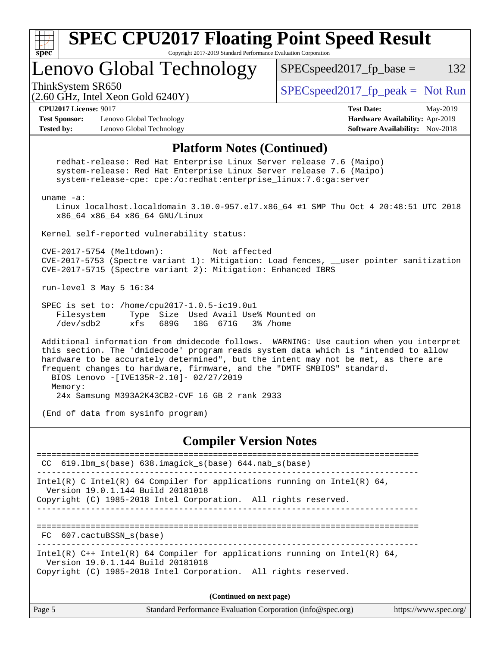| <b>SPEC CPU2017 Floating Point Speed Result</b><br>Copyright 2017-2019 Standard Performance Evaluation Corporation<br>$spec^*$                                                                                                                                                                                                                                                                                                                         |                                                                                                            |  |  |  |  |
|--------------------------------------------------------------------------------------------------------------------------------------------------------------------------------------------------------------------------------------------------------------------------------------------------------------------------------------------------------------------------------------------------------------------------------------------------------|------------------------------------------------------------------------------------------------------------|--|--|--|--|
| Lenovo Global Technology                                                                                                                                                                                                                                                                                                                                                                                                                               | $SPEC speed2017_fp\_base =$<br>132                                                                         |  |  |  |  |
| ThinkSystem SR650<br>$(2.60 \text{ GHz}, \text{Intel Xeon Gold } 6240 \text{Y})$                                                                                                                                                                                                                                                                                                                                                                       | $SPEC speed2017_fp\_peak = Not Run$                                                                        |  |  |  |  |
| <b>CPU2017 License: 9017</b><br><b>Test Sponsor:</b><br>Lenovo Global Technology<br><b>Tested by:</b><br>Lenovo Global Technology                                                                                                                                                                                                                                                                                                                      | <b>Test Date:</b><br>May-2019<br>Hardware Availability: Apr-2019<br><b>Software Availability:</b> Nov-2018 |  |  |  |  |
| <b>Platform Notes (Continued)</b>                                                                                                                                                                                                                                                                                                                                                                                                                      |                                                                                                            |  |  |  |  |
| redhat-release: Red Hat Enterprise Linux Server release 7.6 (Maipo)<br>system-release: Red Hat Enterprise Linux Server release 7.6 (Maipo)<br>system-release-cpe: cpe:/o:redhat:enterprise_linux:7.6:ga:server                                                                                                                                                                                                                                         |                                                                                                            |  |  |  |  |
| $uname -a$ :<br>Linux localhost.localdomain 3.10.0-957.el7.x86_64 #1 SMP Thu Oct 4 20:48:51 UTC 2018<br>x86_64 x86_64 x86_64 GNU/Linux                                                                                                                                                                                                                                                                                                                 |                                                                                                            |  |  |  |  |
| Kernel self-reported vulnerability status:                                                                                                                                                                                                                                                                                                                                                                                                             |                                                                                                            |  |  |  |  |
| CVE-2017-5754 (Meltdown):<br>Not affected<br>CVE-2017-5753 (Spectre variant 1): Mitigation: Load fences, __user pointer sanitization<br>CVE-2017-5715 (Spectre variant 2): Mitigation: Enhanced IBRS                                                                                                                                                                                                                                                   |                                                                                                            |  |  |  |  |
| run-level 3 May 5 16:34                                                                                                                                                                                                                                                                                                                                                                                                                                |                                                                                                            |  |  |  |  |
| SPEC is set to: /home/cpu2017-1.0.5-ic19.0u1<br>Filesystem<br>Size Used Avail Use% Mounted on<br>Type<br>/dev/sdb2<br>xfs<br>689G<br>18G 671G<br>3% /home                                                                                                                                                                                                                                                                                              |                                                                                                            |  |  |  |  |
| Additional information from dmidecode follows. WARNING: Use caution when you interpret<br>this section. The 'dmidecode' program reads system data which is "intended to allow<br>hardware to be accurately determined", but the intent may not be met, as there are<br>frequent changes to hardware, firmware, and the "DMTF SMBIOS" standard.<br>BIOS Lenovo -[IVE135R-2.10]- 02/27/2019<br>Memory:<br>24x Samsung M393A2K43CB2-CVF 16 GB 2 rank 2933 |                                                                                                            |  |  |  |  |
| (End of data from sysinfo program)                                                                                                                                                                                                                                                                                                                                                                                                                     |                                                                                                            |  |  |  |  |
| <b>Compiler Version Notes</b>                                                                                                                                                                                                                                                                                                                                                                                                                          |                                                                                                            |  |  |  |  |
| ===================================<br>==============================<br>CC 619.1bm_s(base) 638.imagick_s(base) 644.nab_s(base)                                                                                                                                                                                                                                                                                                                        |                                                                                                            |  |  |  |  |
| $Intel(R)$ C Intel(R) 64 Compiler for applications running on Intel(R) 64,<br>Version 19.0.1.144 Build 20181018<br>Copyright (C) 1985-2018 Intel Corporation. All rights reserved.                                                                                                                                                                                                                                                                     |                                                                                                            |  |  |  |  |
| FC 607.cactuBSSN s(base)                                                                                                                                                                                                                                                                                                                                                                                                                               |                                                                                                            |  |  |  |  |
| . _ _ _ _ _ _ _ _ _ _ _ _ _<br>Intel(R) $C++$ Intel(R) 64 Compiler for applications running on Intel(R) 64,<br>Version 19.0.1.144 Build 20181018<br>Copyright (C) 1985-2018 Intel Corporation. All rights reserved.                                                                                                                                                                                                                                    |                                                                                                            |  |  |  |  |

**(Continued on next page)**

| $\vert$ Page 5 | Standard Performance Evaluation Corporation (info@spec.org) | https://www.spec.org/ |
|----------------|-------------------------------------------------------------|-----------------------|
|----------------|-------------------------------------------------------------|-----------------------|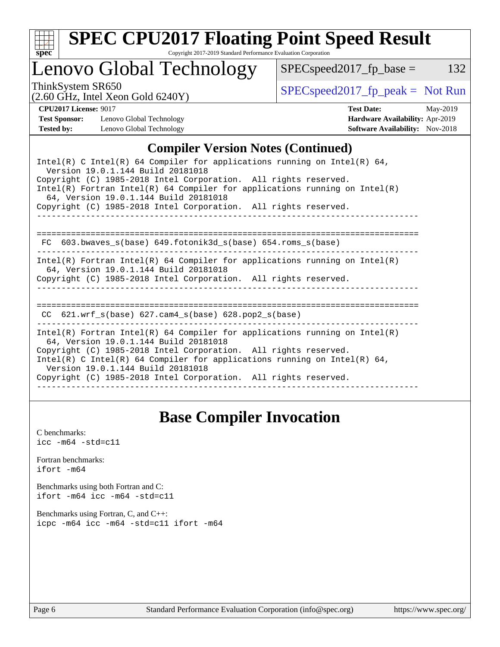

# **[SPEC CPU2017 Floating Point Speed Result](http://www.spec.org/auto/cpu2017/Docs/result-fields.html#SPECCPU2017FloatingPointSpeedResult)**

Copyright 2017-2019 Standard Performance Evaluation Corporation

## Lenovo Global Technology

ThinkSystem SR650<br>  $(2.60 \text{ GHz. Intel Yoon Gold } 6240 \text{V})$  [SPECspeed2017\\_fp\\_peak =](http://www.spec.org/auto/cpu2017/Docs/result-fields.html#SPECspeed2017fppeak) Not Run

 $SPEC speed2017_fp\_base = 132$ 

(2.60 GHz, Intel Xeon Gold 6240Y)

**[CPU2017 License:](http://www.spec.org/auto/cpu2017/Docs/result-fields.html#CPU2017License)** 9017 **[Test Date:](http://www.spec.org/auto/cpu2017/Docs/result-fields.html#TestDate)** May-2019 **[Test Sponsor:](http://www.spec.org/auto/cpu2017/Docs/result-fields.html#TestSponsor)** Lenovo Global Technology **[Hardware Availability:](http://www.spec.org/auto/cpu2017/Docs/result-fields.html#HardwareAvailability)** Apr-2019 **[Tested by:](http://www.spec.org/auto/cpu2017/Docs/result-fields.html#Testedby)** Lenovo Global Technology **[Software Availability:](http://www.spec.org/auto/cpu2017/Docs/result-fields.html#SoftwareAvailability)** Nov-2018

### **[Compiler Version Notes \(Continued\)](http://www.spec.org/auto/cpu2017/Docs/result-fields.html#CompilerVersionNotes)**

## **[Base Compiler Invocation](http://www.spec.org/auto/cpu2017/Docs/result-fields.html#BaseCompilerInvocation)**

[C benchmarks](http://www.spec.org/auto/cpu2017/Docs/result-fields.html#Cbenchmarks):  $\text{icc}$  -m64 -std=c11 [Fortran benchmarks](http://www.spec.org/auto/cpu2017/Docs/result-fields.html#Fortranbenchmarks): [ifort -m64](http://www.spec.org/cpu2017/results/res2019q3/cpu2017-20190708-16020.flags.html#user_FCbase_intel_ifort_64bit_24f2bb282fbaeffd6157abe4f878425411749daecae9a33200eee2bee2fe76f3b89351d69a8130dd5949958ce389cf37ff59a95e7a40d588e8d3a57e0c3fd751) [Benchmarks using both Fortran and C](http://www.spec.org/auto/cpu2017/Docs/result-fields.html#BenchmarksusingbothFortranandC): [ifort -m64](http://www.spec.org/cpu2017/results/res2019q3/cpu2017-20190708-16020.flags.html#user_CC_FCbase_intel_ifort_64bit_24f2bb282fbaeffd6157abe4f878425411749daecae9a33200eee2bee2fe76f3b89351d69a8130dd5949958ce389cf37ff59a95e7a40d588e8d3a57e0c3fd751) [icc -m64 -std=c11](http://www.spec.org/cpu2017/results/res2019q3/cpu2017-20190708-16020.flags.html#user_CC_FCbase_intel_icc_64bit_c11_33ee0cdaae7deeeab2a9725423ba97205ce30f63b9926c2519791662299b76a0318f32ddfffdc46587804de3178b4f9328c46fa7c2b0cd779d7a61945c91cd35) [Benchmarks using Fortran, C, and C++:](http://www.spec.org/auto/cpu2017/Docs/result-fields.html#BenchmarksusingFortranCandCXX) [icpc -m64](http://www.spec.org/cpu2017/results/res2019q3/cpu2017-20190708-16020.flags.html#user_CC_CXX_FCbase_intel_icpc_64bit_4ecb2543ae3f1412ef961e0650ca070fec7b7afdcd6ed48761b84423119d1bf6bdf5cad15b44d48e7256388bc77273b966e5eb805aefd121eb22e9299b2ec9d9) [icc -m64 -std=c11](http://www.spec.org/cpu2017/results/res2019q3/cpu2017-20190708-16020.flags.html#user_CC_CXX_FCbase_intel_icc_64bit_c11_33ee0cdaae7deeeab2a9725423ba97205ce30f63b9926c2519791662299b76a0318f32ddfffdc46587804de3178b4f9328c46fa7c2b0cd779d7a61945c91cd35) [ifort -m64](http://www.spec.org/cpu2017/results/res2019q3/cpu2017-20190708-16020.flags.html#user_CC_CXX_FCbase_intel_ifort_64bit_24f2bb282fbaeffd6157abe4f878425411749daecae9a33200eee2bee2fe76f3b89351d69a8130dd5949958ce389cf37ff59a95e7a40d588e8d3a57e0c3fd751)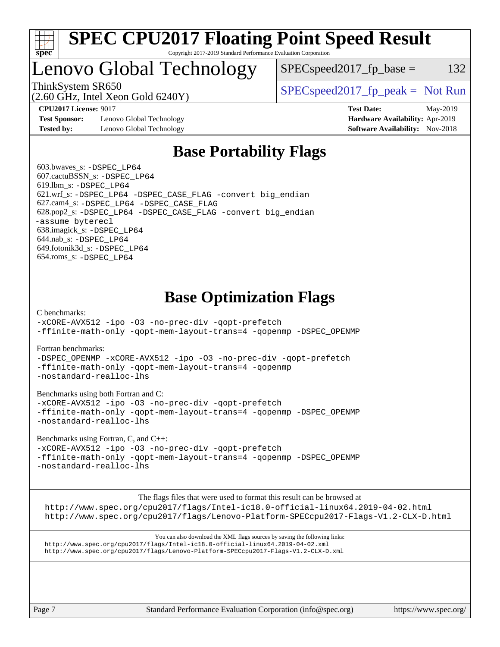

#### **[SPEC CPU2017 Floating Point Speed Result](http://www.spec.org/auto/cpu2017/Docs/result-fields.html#SPECCPU2017FloatingPointSpeedResult)** Copyright 2017-2019 Standard Performance Evaluation Corporation

## Lenovo Global Technology

ThinkSystem SR650  $SPEC speed2017$  [p\_peak = Not Run

 $SPEC speed2017_fp\_base = 132$ 

(2.60 GHz, Intel Xeon Gold 6240Y)

**[Test Sponsor:](http://www.spec.org/auto/cpu2017/Docs/result-fields.html#TestSponsor)** Lenovo Global Technology **[Hardware Availability:](http://www.spec.org/auto/cpu2017/Docs/result-fields.html#HardwareAvailability)** Apr-2019 **[Tested by:](http://www.spec.org/auto/cpu2017/Docs/result-fields.html#Testedby)** Lenovo Global Technology **[Software Availability:](http://www.spec.org/auto/cpu2017/Docs/result-fields.html#SoftwareAvailability)** Nov-2018

**[CPU2017 License:](http://www.spec.org/auto/cpu2017/Docs/result-fields.html#CPU2017License)** 9017 **[Test Date:](http://www.spec.org/auto/cpu2017/Docs/result-fields.html#TestDate)** May-2019

## **[Base Portability Flags](http://www.spec.org/auto/cpu2017/Docs/result-fields.html#BasePortabilityFlags)**

 603.bwaves\_s: [-DSPEC\\_LP64](http://www.spec.org/cpu2017/results/res2019q3/cpu2017-20190708-16020.flags.html#suite_basePORTABILITY603_bwaves_s_DSPEC_LP64) 607.cactuBSSN\_s: [-DSPEC\\_LP64](http://www.spec.org/cpu2017/results/res2019q3/cpu2017-20190708-16020.flags.html#suite_basePORTABILITY607_cactuBSSN_s_DSPEC_LP64) 619.lbm\_s: [-DSPEC\\_LP64](http://www.spec.org/cpu2017/results/res2019q3/cpu2017-20190708-16020.flags.html#suite_basePORTABILITY619_lbm_s_DSPEC_LP64) 621.wrf\_s: [-DSPEC\\_LP64](http://www.spec.org/cpu2017/results/res2019q3/cpu2017-20190708-16020.flags.html#suite_basePORTABILITY621_wrf_s_DSPEC_LP64) [-DSPEC\\_CASE\\_FLAG](http://www.spec.org/cpu2017/results/res2019q3/cpu2017-20190708-16020.flags.html#b621.wrf_s_baseCPORTABILITY_DSPEC_CASE_FLAG) [-convert big\\_endian](http://www.spec.org/cpu2017/results/res2019q3/cpu2017-20190708-16020.flags.html#user_baseFPORTABILITY621_wrf_s_convert_big_endian_c3194028bc08c63ac5d04de18c48ce6d347e4e562e8892b8bdbdc0214820426deb8554edfa529a3fb25a586e65a3d812c835984020483e7e73212c4d31a38223) 627.cam4\_s: [-DSPEC\\_LP64](http://www.spec.org/cpu2017/results/res2019q3/cpu2017-20190708-16020.flags.html#suite_basePORTABILITY627_cam4_s_DSPEC_LP64) [-DSPEC\\_CASE\\_FLAG](http://www.spec.org/cpu2017/results/res2019q3/cpu2017-20190708-16020.flags.html#b627.cam4_s_baseCPORTABILITY_DSPEC_CASE_FLAG) 628.pop2\_s: [-DSPEC\\_LP64](http://www.spec.org/cpu2017/results/res2019q3/cpu2017-20190708-16020.flags.html#suite_basePORTABILITY628_pop2_s_DSPEC_LP64) [-DSPEC\\_CASE\\_FLAG](http://www.spec.org/cpu2017/results/res2019q3/cpu2017-20190708-16020.flags.html#b628.pop2_s_baseCPORTABILITY_DSPEC_CASE_FLAG) [-convert big\\_endian](http://www.spec.org/cpu2017/results/res2019q3/cpu2017-20190708-16020.flags.html#user_baseFPORTABILITY628_pop2_s_convert_big_endian_c3194028bc08c63ac5d04de18c48ce6d347e4e562e8892b8bdbdc0214820426deb8554edfa529a3fb25a586e65a3d812c835984020483e7e73212c4d31a38223) [-assume byterecl](http://www.spec.org/cpu2017/results/res2019q3/cpu2017-20190708-16020.flags.html#user_baseFPORTABILITY628_pop2_s_assume_byterecl_7e47d18b9513cf18525430bbf0f2177aa9bf368bc7a059c09b2c06a34b53bd3447c950d3f8d6c70e3faf3a05c8557d66a5798b567902e8849adc142926523472) 638.imagick\_s: [-DSPEC\\_LP64](http://www.spec.org/cpu2017/results/res2019q3/cpu2017-20190708-16020.flags.html#suite_basePORTABILITY638_imagick_s_DSPEC_LP64) 644.nab\_s: [-DSPEC\\_LP64](http://www.spec.org/cpu2017/results/res2019q3/cpu2017-20190708-16020.flags.html#suite_basePORTABILITY644_nab_s_DSPEC_LP64) 649.fotonik3d\_s: [-DSPEC\\_LP64](http://www.spec.org/cpu2017/results/res2019q3/cpu2017-20190708-16020.flags.html#suite_basePORTABILITY649_fotonik3d_s_DSPEC_LP64) 654.roms\_s: [-DSPEC\\_LP64](http://www.spec.org/cpu2017/results/res2019q3/cpu2017-20190708-16020.flags.html#suite_basePORTABILITY654_roms_s_DSPEC_LP64)

## **[Base Optimization Flags](http://www.spec.org/auto/cpu2017/Docs/result-fields.html#BaseOptimizationFlags)**

[C benchmarks](http://www.spec.org/auto/cpu2017/Docs/result-fields.html#Cbenchmarks):

[-xCORE-AVX512](http://www.spec.org/cpu2017/results/res2019q3/cpu2017-20190708-16020.flags.html#user_CCbase_f-xCORE-AVX512) [-ipo](http://www.spec.org/cpu2017/results/res2019q3/cpu2017-20190708-16020.flags.html#user_CCbase_f-ipo) [-O3](http://www.spec.org/cpu2017/results/res2019q3/cpu2017-20190708-16020.flags.html#user_CCbase_f-O3) [-no-prec-div](http://www.spec.org/cpu2017/results/res2019q3/cpu2017-20190708-16020.flags.html#user_CCbase_f-no-prec-div) [-qopt-prefetch](http://www.spec.org/cpu2017/results/res2019q3/cpu2017-20190708-16020.flags.html#user_CCbase_f-qopt-prefetch) [-ffinite-math-only](http://www.spec.org/cpu2017/results/res2019q3/cpu2017-20190708-16020.flags.html#user_CCbase_f_finite_math_only_cb91587bd2077682c4b38af759c288ed7c732db004271a9512da14a4f8007909a5f1427ecbf1a0fb78ff2a814402c6114ac565ca162485bbcae155b5e4258871) [-qopt-mem-layout-trans=4](http://www.spec.org/cpu2017/results/res2019q3/cpu2017-20190708-16020.flags.html#user_CCbase_f-qopt-mem-layout-trans_fa39e755916c150a61361b7846f310bcdf6f04e385ef281cadf3647acec3f0ae266d1a1d22d972a7087a248fd4e6ca390a3634700869573d231a252c784941a8) [-qopenmp](http://www.spec.org/cpu2017/results/res2019q3/cpu2017-20190708-16020.flags.html#user_CCbase_qopenmp_16be0c44f24f464004c6784a7acb94aca937f053568ce72f94b139a11c7c168634a55f6653758ddd83bcf7b8463e8028bb0b48b77bcddc6b78d5d95bb1df2967) [-DSPEC\\_OPENMP](http://www.spec.org/cpu2017/results/res2019q3/cpu2017-20190708-16020.flags.html#suite_CCbase_DSPEC_OPENMP)

[Fortran benchmarks](http://www.spec.org/auto/cpu2017/Docs/result-fields.html#Fortranbenchmarks):

[-DSPEC\\_OPENMP](http://www.spec.org/cpu2017/results/res2019q3/cpu2017-20190708-16020.flags.html#suite_FCbase_DSPEC_OPENMP) [-xCORE-AVX512](http://www.spec.org/cpu2017/results/res2019q3/cpu2017-20190708-16020.flags.html#user_FCbase_f-xCORE-AVX512) [-ipo](http://www.spec.org/cpu2017/results/res2019q3/cpu2017-20190708-16020.flags.html#user_FCbase_f-ipo) [-O3](http://www.spec.org/cpu2017/results/res2019q3/cpu2017-20190708-16020.flags.html#user_FCbase_f-O3) [-no-prec-div](http://www.spec.org/cpu2017/results/res2019q3/cpu2017-20190708-16020.flags.html#user_FCbase_f-no-prec-div) [-qopt-prefetch](http://www.spec.org/cpu2017/results/res2019q3/cpu2017-20190708-16020.flags.html#user_FCbase_f-qopt-prefetch) [-ffinite-math-only](http://www.spec.org/cpu2017/results/res2019q3/cpu2017-20190708-16020.flags.html#user_FCbase_f_finite_math_only_cb91587bd2077682c4b38af759c288ed7c732db004271a9512da14a4f8007909a5f1427ecbf1a0fb78ff2a814402c6114ac565ca162485bbcae155b5e4258871) [-qopt-mem-layout-trans=4](http://www.spec.org/cpu2017/results/res2019q3/cpu2017-20190708-16020.flags.html#user_FCbase_f-qopt-mem-layout-trans_fa39e755916c150a61361b7846f310bcdf6f04e385ef281cadf3647acec3f0ae266d1a1d22d972a7087a248fd4e6ca390a3634700869573d231a252c784941a8) [-qopenmp](http://www.spec.org/cpu2017/results/res2019q3/cpu2017-20190708-16020.flags.html#user_FCbase_qopenmp_16be0c44f24f464004c6784a7acb94aca937f053568ce72f94b139a11c7c168634a55f6653758ddd83bcf7b8463e8028bb0b48b77bcddc6b78d5d95bb1df2967) [-nostandard-realloc-lhs](http://www.spec.org/cpu2017/results/res2019q3/cpu2017-20190708-16020.flags.html#user_FCbase_f_2003_std_realloc_82b4557e90729c0f113870c07e44d33d6f5a304b4f63d4c15d2d0f1fab99f5daaed73bdb9275d9ae411527f28b936061aa8b9c8f2d63842963b95c9dd6426b8a)

[Benchmarks using both Fortran and C](http://www.spec.org/auto/cpu2017/Docs/result-fields.html#BenchmarksusingbothFortranandC):

[-xCORE-AVX512](http://www.spec.org/cpu2017/results/res2019q3/cpu2017-20190708-16020.flags.html#user_CC_FCbase_f-xCORE-AVX512) [-ipo](http://www.spec.org/cpu2017/results/res2019q3/cpu2017-20190708-16020.flags.html#user_CC_FCbase_f-ipo) [-O3](http://www.spec.org/cpu2017/results/res2019q3/cpu2017-20190708-16020.flags.html#user_CC_FCbase_f-O3) [-no-prec-div](http://www.spec.org/cpu2017/results/res2019q3/cpu2017-20190708-16020.flags.html#user_CC_FCbase_f-no-prec-div) [-qopt-prefetch](http://www.spec.org/cpu2017/results/res2019q3/cpu2017-20190708-16020.flags.html#user_CC_FCbase_f-qopt-prefetch) [-ffinite-math-only](http://www.spec.org/cpu2017/results/res2019q3/cpu2017-20190708-16020.flags.html#user_CC_FCbase_f_finite_math_only_cb91587bd2077682c4b38af759c288ed7c732db004271a9512da14a4f8007909a5f1427ecbf1a0fb78ff2a814402c6114ac565ca162485bbcae155b5e4258871) [-qopt-mem-layout-trans=4](http://www.spec.org/cpu2017/results/res2019q3/cpu2017-20190708-16020.flags.html#user_CC_FCbase_f-qopt-mem-layout-trans_fa39e755916c150a61361b7846f310bcdf6f04e385ef281cadf3647acec3f0ae266d1a1d22d972a7087a248fd4e6ca390a3634700869573d231a252c784941a8) [-qopenmp](http://www.spec.org/cpu2017/results/res2019q3/cpu2017-20190708-16020.flags.html#user_CC_FCbase_qopenmp_16be0c44f24f464004c6784a7acb94aca937f053568ce72f94b139a11c7c168634a55f6653758ddd83bcf7b8463e8028bb0b48b77bcddc6b78d5d95bb1df2967) [-DSPEC\\_OPENMP](http://www.spec.org/cpu2017/results/res2019q3/cpu2017-20190708-16020.flags.html#suite_CC_FCbase_DSPEC_OPENMP) [-nostandard-realloc-lhs](http://www.spec.org/cpu2017/results/res2019q3/cpu2017-20190708-16020.flags.html#user_CC_FCbase_f_2003_std_realloc_82b4557e90729c0f113870c07e44d33d6f5a304b4f63d4c15d2d0f1fab99f5daaed73bdb9275d9ae411527f28b936061aa8b9c8f2d63842963b95c9dd6426b8a)

[Benchmarks using Fortran, C, and C++:](http://www.spec.org/auto/cpu2017/Docs/result-fields.html#BenchmarksusingFortranCandCXX)

[-xCORE-AVX512](http://www.spec.org/cpu2017/results/res2019q3/cpu2017-20190708-16020.flags.html#user_CC_CXX_FCbase_f-xCORE-AVX512) [-ipo](http://www.spec.org/cpu2017/results/res2019q3/cpu2017-20190708-16020.flags.html#user_CC_CXX_FCbase_f-ipo) [-O3](http://www.spec.org/cpu2017/results/res2019q3/cpu2017-20190708-16020.flags.html#user_CC_CXX_FCbase_f-O3) [-no-prec-div](http://www.spec.org/cpu2017/results/res2019q3/cpu2017-20190708-16020.flags.html#user_CC_CXX_FCbase_f-no-prec-div) [-qopt-prefetch](http://www.spec.org/cpu2017/results/res2019q3/cpu2017-20190708-16020.flags.html#user_CC_CXX_FCbase_f-qopt-prefetch) [-ffinite-math-only](http://www.spec.org/cpu2017/results/res2019q3/cpu2017-20190708-16020.flags.html#user_CC_CXX_FCbase_f_finite_math_only_cb91587bd2077682c4b38af759c288ed7c732db004271a9512da14a4f8007909a5f1427ecbf1a0fb78ff2a814402c6114ac565ca162485bbcae155b5e4258871) [-qopt-mem-layout-trans=4](http://www.spec.org/cpu2017/results/res2019q3/cpu2017-20190708-16020.flags.html#user_CC_CXX_FCbase_f-qopt-mem-layout-trans_fa39e755916c150a61361b7846f310bcdf6f04e385ef281cadf3647acec3f0ae266d1a1d22d972a7087a248fd4e6ca390a3634700869573d231a252c784941a8) [-qopenmp](http://www.spec.org/cpu2017/results/res2019q3/cpu2017-20190708-16020.flags.html#user_CC_CXX_FCbase_qopenmp_16be0c44f24f464004c6784a7acb94aca937f053568ce72f94b139a11c7c168634a55f6653758ddd83bcf7b8463e8028bb0b48b77bcddc6b78d5d95bb1df2967) [-DSPEC\\_OPENMP](http://www.spec.org/cpu2017/results/res2019q3/cpu2017-20190708-16020.flags.html#suite_CC_CXX_FCbase_DSPEC_OPENMP) [-nostandard-realloc-lhs](http://www.spec.org/cpu2017/results/res2019q3/cpu2017-20190708-16020.flags.html#user_CC_CXX_FCbase_f_2003_std_realloc_82b4557e90729c0f113870c07e44d33d6f5a304b4f63d4c15d2d0f1fab99f5daaed73bdb9275d9ae411527f28b936061aa8b9c8f2d63842963b95c9dd6426b8a)

The flags files that were used to format this result can be browsed at

<http://www.spec.org/cpu2017/flags/Intel-ic18.0-official-linux64.2019-04-02.html> <http://www.spec.org/cpu2017/flags/Lenovo-Platform-SPECcpu2017-Flags-V1.2-CLX-D.html>

You can also download the XML flags sources by saving the following links: <http://www.spec.org/cpu2017/flags/Intel-ic18.0-official-linux64.2019-04-02.xml> <http://www.spec.org/cpu2017/flags/Lenovo-Platform-SPECcpu2017-Flags-V1.2-CLX-D.xml>